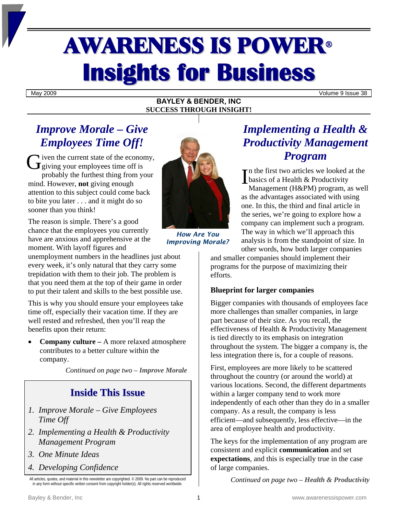# AWARENESS IS POWER<sup>ü</sup> **Insights for Business**

May 2009 Volume 9 Issue 38

### **BAYLEY & BENDER, INC SUCCESS THROUGH INSIGHT!**

# *Improve Morale – Give Employees Time Off!*

**V** iven the current state of the economy, Given the current state of the econor<br>
Gy giving your employees time off is probably the furthest thing from your mind. However, **not** giving enough attention to this subject could come back to bite you later . . . and it might do so sooner than you think!

The reason is simple. There's a good chance that the employees you currently have are anxious and apprehensive at the moment. With layoff figures and

unemployment numbers in the headlines just about every week, it's only natural that they carry some trepidation with them to their job. The problem is that you need them at the top of their game in order to put their talent and skills to the best possible use.

This is why you should ensure your employees take time off, especially their vacation time. If they are well rested and refreshed, then you'll reap the benefits upon their return:

• **Company culture –** A more relaxed atmosphere contributes to a better culture within the company.

*Continued on page two – Improve Morale* 

## **Inside This Issue**

- *1. Improve Morale Give Employees Time Off*
- *2. Implementing a Health & Productivity Management Program*
- *3. One Minute Ideas*
- *4. Developing Confidence*



*How Are You Improving Morale?* 

# *Implementing a Health & Productivity Management Program*

n the first two articles we looked at the In the first two articles we looked<br>basics of a Health & Productivity<br>Managamart (U.P.D.A) program Management (H&PM) program, as well as the advantages associated with using one. In this, the third and final article in the series, we're going to explore how a company can implement such a program. The way in which we'll approach this analysis is from the standpoint of size. In other words, how both larger companies

and smaller companies should implement their programs for the purpose of maximizing their efforts.

### **Blueprint for larger companies**

Bigger companies with thousands of employees face more challenges than smaller companies, in large part because of their size. As you recall, the effectiveness of Health & Productivity Management is tied directly to its emphasis on integration throughout the system. The bigger a company is, the less integration there is, for a couple of reasons.

First, employees are more likely to be scattered throughout the country (or around the world) at various locations. Second, the different departments within a larger company tend to work more independently of each other than they do in a smaller company. As a result, the company is less efficient—and subsequently, less effective—in the area of employee health and productivity.

The keys for the implementation of any program are consistent and explicit **communication** and set **expectations**, and this is especially true in the case of large companies.

*Continued on page two – Health & Productivity* 

All articles, quotes, and material in this newsletter are copyrighted. © 2009. No part can be reproduced in any form without specific written consent from copyright holder(s). All rights reserved worldwide.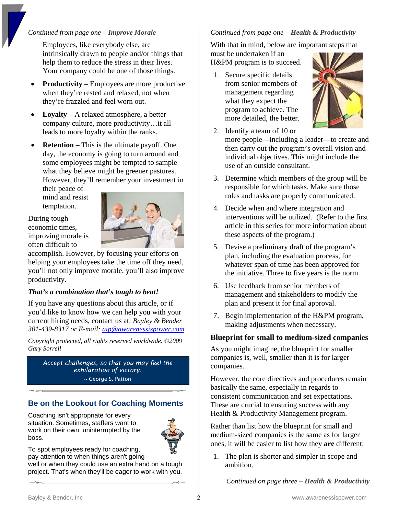### *Continued from page one – Improve Morale*

Employees, like everybody else, are intrinsically drawn to people and/or things that help them to reduce the stress in their lives. Your company could be one of those things.

- **Productivity** Employees are more productive when they're rested and relaxed, not when they're frazzled and feel worn out.
- **Loyalty** A relaxed atmosphere, a better company culture, more productivity…it all leads to more loyalty within the ranks.
- **Retention** This is the ultimate payoff. One day, the economy is going to turn around and some employees might be tempted to sample what they believe might be greener pastures. However, they'll remember your investment in

their peace of mind and resist temptation.

### During tough economic times, improving morale is often difficult to



accomplish. However, by focusing your efforts on helping your employees take the time off they need, you'll not only improve morale, you'll also improve productivity.

### *That's a combination that's tough to beat!*

If you have any questions about this article, or if you'd like to know how we can help you with your current hiring needs, contact us at: *Bayley & Bender 301-439-8317 or E-mail: [aip@awarenessispower.com](mailto:aip@awarenessispower.com)*

*Copyright protected, all rights reserved worldwide. ©2009 Gary Sorrell* 

*Accept challenges, so that you may feel the exhilaration of victory. ~* George S. Patton

### **Be on the Lookout for Coaching Moments**

Coaching isn't appropriate for every situation. Sometimes, staffers want to work on their own, uninterrupted by the boss.



To spot employees ready for coaching, pay attention to when things aren't going

well or when they could use an extra hand on a tough project. That's when they'll be eager to work with you.

### *Continued from page one – Health & Productivity*

With that in mind, below are important steps that

must be undertaken if an H&PM program is to succeed.

1. Secure specific details from senior members of management regarding what they expect the program to achieve. The more detailed, the better.



- 2. Identify a team of 10 or more people—including a leader—to create and then carry out the program's overall vision and individual objectives. This might include the use of an outside consultant.
- 3. Determine which members of the group will be responsible for which tasks. Make sure those roles and tasks are properly communicated.
- 4. Decide when and where integration and interventions will be utilized. (Refer to the first article in this series for more information about these aspects of the program.)
- 5. Devise a preliminary draft of the program's plan, including the evaluation process, for whatever span of time has been approved for the initiative. Three to five years is the norm.
- 6. Use feedback from senior members of management and stakeholders to modify the plan and present it for final approval.
- 7. Begin implementation of the H&PM program, making adjustments when necessary.

### **Blueprint for small to medium-sized companies**

As you might imagine, the blueprint for smaller companies is, well, smaller than it is for larger companies.

However, the core directives and procedures remain basically the same, especially in regards to consistent communication and set expectations. These are crucial to ensuring success with any Health & Productivity Management program.

Rather than list how the blueprint for small and medium-sized companies is the same as for larger ones, it will be easier to list how they **are** different:

1. The plan is shorter and simpler in scope and ambition.

*Continued on page three – Health & Productivity*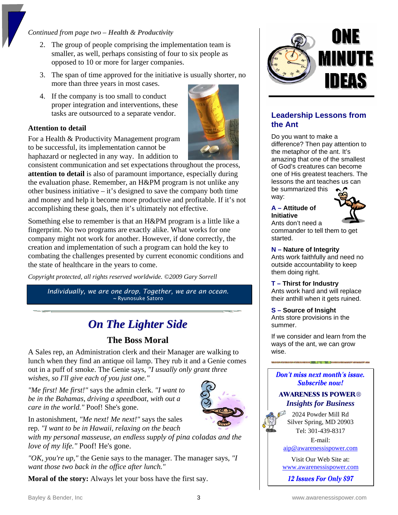### *Continued from page two – Health & Productivity*

- 2. The group of people comprising the implementation team is smaller, as well, perhaps consisting of four to six people as opposed to 10 or more for larger companies.
- 3. The span of time approved for the initiative is usually shorter, no more than three years in most cases.
- 4. If the company is too small to conduct proper integration and interventions, these tasks are outsourced to a separate vendor.

### **Attention to detail**

For a Health & Productivity Management program to be successful, its implementation cannot be haphazard or neglected in any way. In addition to



Something else to remember is that an H&PM program is a little like a fingerprint. No two programs are exactly alike. What works for one company might not work for another. However, if done correctly, the creation and implementation of such a program can hold the key to combating the challenges presented by current economic conditions and the state of healthcare in the years to come.

*Copyright protected, all rights reserved worldwide. ©2009 Gary Sorrell* 

*Individually, we are one drop. Together, we are an ocean. ~* Ryunosuke Satoro

# *On The Lighter Side*

### **The Boss Moral**

A Sales rep, an Administration clerk and their Manager are walking to lunch when they find an antique oil lamp. They rub it and a Genie comes out in a puff of smoke. The Genie says, *"I usually only grant three wishes, so I'll give each of you just one."*

*"Me first! Me first!"* says the admin clerk. *"I want to be in the Bahamas, driving a speedboat, with out a care in the world."* Poof! She's gone.



In astonishment, *"Me next! Me next!"* says the sales rep. *"I want to be in Hawaii, relaxing on the beach* 

*with my personal masseuse, an endless supply of pina coladas and the love of my life."* Poof! He's gone.

*"OK, you're up,"* the Genie says to the manager. The manager says, *"I want those two back in the office after lunch."* 

**Moral of the story:** Always let your boss have the first say.



### **Leadership Lessons from the Ant**

Do you want to make a difference? Then pay attention to the metaphor of the ant. It's amazing that one of the smallest of God's creatures can become one of His greatest teachers. The lessons the ant teaches us can be summarized this way:

### **A – Attitude of Initiative**



Ants don't need a commander to tell them to get started.

#### **N – Nature of Integrity**

Ants work faithfully and need no outside accountability to keep them doing right.

#### **T – Thirst for Industry**

Ants work hard and will replace their anthill when it gets ruined.

#### **S – Source of Insight** Ants store provisions in the summer.

If we consider and learn from the ways of the ant, we can grow wise.

#### Don't miss next month's issue. **Subscribe now!**

### **AWARENESS IS POWER®** *Insights for Business*

2024 Powder Mill Rd Silver Spring, MD 20903 Tel: 301-439-8317

E-mail:

[aip@awarenessispower.com](mailto:aip@awarenessispower.com)

Visit Our Web Site at: [www.awarenessispower.com](http://www.awarenessispower.com/)

12 **Issues For Only \$97**